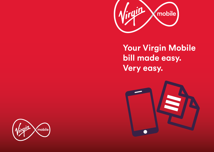

**Your Virgin Mobile bill made easy. Very easy.**